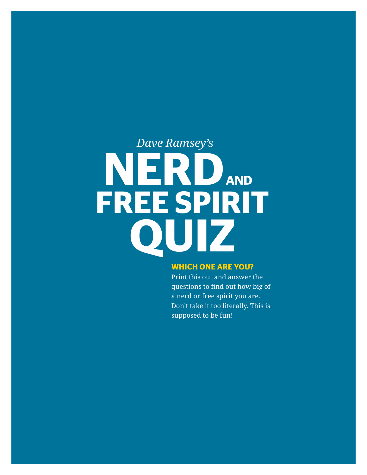# *Dave Ramsey's* **FREE SPIRIT NERDAND QUIZ**

#### **WHICH ONE ARE YOU?**

Print this out and answer the questions to find out how big of a nerd or free spirit you are. Don't take it too literally. This is supposed to be fun!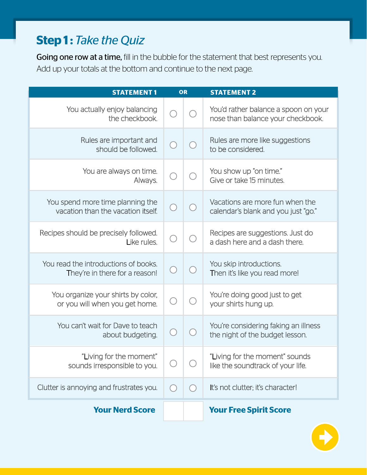# **Step 1: Take the Quiz**

Going one row at a time, fill in the bubble for the statement that best represents you. Add up your totals at the bottom and continue to the next page.

| <b>STATEMENT1</b>                                                      | OR |            | <b>STATEMENT 2</b>                                                        |
|------------------------------------------------------------------------|----|------------|---------------------------------------------------------------------------|
| You actually enjoy balancing<br>the checkbook.                         |    |            | You'd rather balance a spoon on your<br>nose than balance your checkbook. |
| Rules are important and<br>should be followed.                         |    |            | Rules are more like suggestions<br>to be considered.                      |
| You are always on time.<br>Always.                                     |    |            | You show up "on time."<br>Give or take 15 minutes.                        |
| You spend more time planning the<br>vacation than the vacation itself. |    |            | Vacations are more fun when the<br>calendar's blank and you just "go."    |
| Recipes should be precisely followed.<br>Like rules.                   |    |            | Recipes are suggestions. Just do<br>a dash here and a dash there.         |
| You read the introductions of books.<br>They're in there for a reason! |    |            | You skip introductions.<br>Then it's like you read more!                  |
| You organize your shirts by color,<br>or you will when you get home.   |    |            | You're doing good just to get<br>your shirts hung up.                     |
| You can't wait for Dave to teach<br>about budgeting.                   |    |            | You're considering faking an illness<br>the night of the budget lesson.   |
| "Living for the moment"<br>sounds irresponsible to you.                |    |            | "Living for the moment" sounds<br>like the soundtrack of your life.       |
| Clutter is annoying and frustrates you.                                |    | $\bigcirc$ | It's not clutter; it's character!                                         |
| <b>Your Nerd Score</b>                                                 |    |            | <b>Your Free Spirit Score</b>                                             |

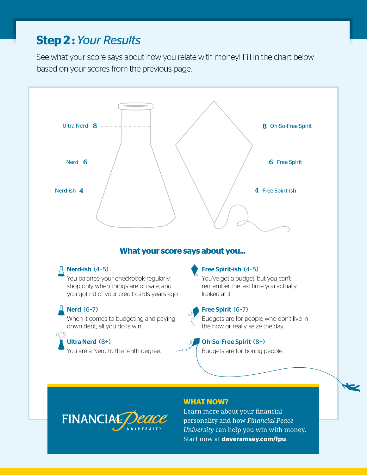## **Step 2 :** *Your Results*

See what your score says about how you relate with money! Fill in the chart below based on your scores from the previous page.



## **What your score says about you...**

#### Nerd-ish (4–5)

You balance your checkbook regularly, shop only when things are on sale, and you got rid of your credit cards years ago.

#### $\sqrt{4}$  Nerd (6-7)

When it comes to budgeting and paying down debt, all you do is win.

## Ultra Nerd (8+)

You are a Nerd to the tenth degree.

#### Free Spirit-ish (4–5)

You've got a budget, but you can't remember the last time you actually looked at it.



#### Free Spirit (6–7)

Budgets are for people who don't live in the now or really seize the day.

#### Oh-So-Free Spirit (8+)

Budgets are for boring people.



#### **WHAT NOW?**

[Learn more about your financial](http://www.daveramsey.com/fpu)  personality and how *Financial Peace University* can help you win with money. Start now at **daveramsey.com/fpu**.